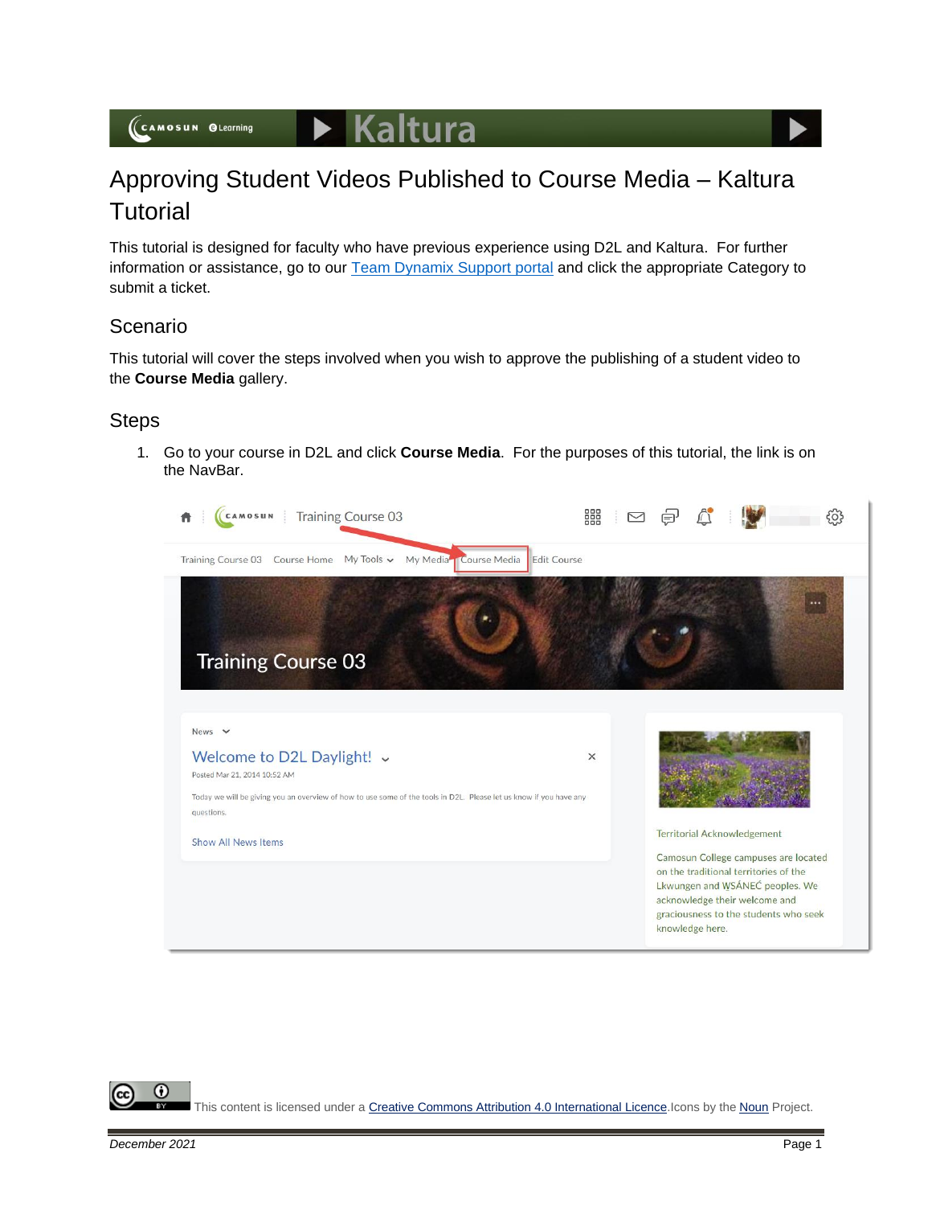## $\blacktriangleright$  Kaltura

# Approving Student Videos Published to Course Media – Kaltura **Tutorial**

This tutorial is designed for faculty who have previous experience using D2L and Kaltura. For further information or assistance, go to our [Team Dynamix Support portal](https://camosun.teamdynamix.com/TDClient/67/Portal/Requests/ServiceCatalog?CategoryID=523) and click the appropriate Category to submit a ticket.

### Scenario

This tutorial will cover the steps involved when you wish to approve the publishing of a student video to the **Course Media** gallery.

#### **Steps**

1. Go to your course in D2L and click **Course Media**. For the purposes of this tutorial, the link is on the NavBar.



This content is licensed under [a Creative Commons Attribution 4.0 International Licence.I](https://creativecommons.org/licenses/by/4.0/)cons by the [Noun](https://creativecommons.org/website-icons/) Project.

O